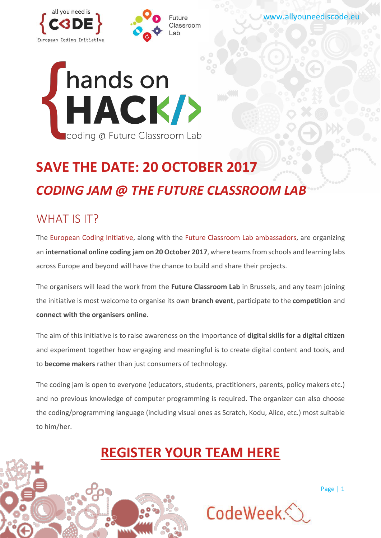



[www.allyouneediscode.eu](http://www.allyouneediscode.eu/)



# **SAVE THE DATE: 20 OCTOBER 2017** *CODING JAM @ THE FUTURE CLASSROOM LAB*

## WHAT IS IT?

The [European Coding Initiative,](http://www.allyouneediscode.eu/) along with the [Future Classroom Lab a](http://fcl.eun.org/)mbassadors, are organizing an **international online coding jam on 20October 2017**, where teamsfromschools and learning labs across Europe and beyond will have the chance to build and share their projects.

The organisers will lead the work from the **Future Classroom Lab** in Brussels, and any team joining the initiative is most welcome to organise its own **branch event**, participate to the **competition** and **connect with the organisers online**.

The aim of this initiative is to raise awareness on the importance of **digital skills for a digital citizen** and experiment together how engaging and meaningful is to create digital content and tools, and to **become makers** rather than just consumers of technology.

The coding jam is open to everyone (educators, students, practitioners, parents, policy makers etc.) and no previous knowledge of computer programming is required. The organizer can also choose the coding/programming language (including visual ones as Scratch, Kodu, Alice, etc.) most suitable to him/her.

## **[REGISTER YOUR TEAM HERE](https://www.surveymonkey.com/r/R3KCTW8)**



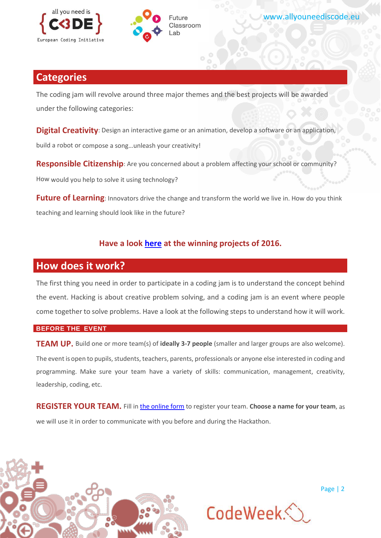



## **Categories**

The coding jam will revolve around three major themes and the best projects will be awarded under the following categories:

**Digital Creativity**: Design an interactive game or an animation, develop a software or an application, build a robot or compose a song…unleash your creativity!

**Responsible Citizenship**: Are you concerned about a problem affecting your school or community?

How would you help to solve it using technology?

**Future of Learning**: Innovators drive the change and transform the world we live in. How do you think teaching and learning should look like in the future?

### **Have a look [here](http://www.allyouneediscode.eu/news/details?articleId=348350) at the winning projects of 2016.**

### **How does it work?**

The first thing you need in order to participate in a coding jam is to understand the concept behind the event. Hacking is about creative problem solving, and a coding jam is an event where people come together to solve problems. Have a look at the following steps to understand how it will work.

#### **BEFORE THE EVENT**

**TEAM UP.** Build one or more team(s) of **ideally 3-7 people** (smaller and larger groups are also welcome). The event is open to pupils, students, teachers, parents, professionals or anyone else interested in coding and programming. Make sure your team have a variety of skills: communication, management, creativity, leadership, coding, etc.

**REGISTER YOUR TEAM.** Fill in the [online form](https://www.surveymonkey.com/r/R3KCTW8) to register your team. **Choose a name for your team**, as we will use it in order to communicate with you before and during the Hackathon.



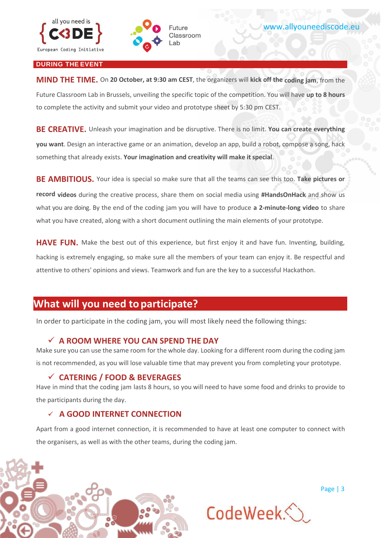



#### **DURING THE EVENT**

**MIND THE TIME.** On **20 October, at 9:30 am CEST**, the organizers will **kick off the coding jam**, from the Future Classroom Lab in Brussels, unveiling the specific topic of the competition. You will have **up to 8 hours**  to complete the activity and submit your video and prototype sheet by 5:30 pm CEST.

**BE CREATIVE.** Unleash your imagination and be disruptive. There is no limit. **You can create everything you want**. Design an interactive game or an animation, develop an app, build a robot, compose a song, hack something that already exists. **Your imagination and creativity will make itspecial**.

**BE AMBITIOUS.** Your idea is special so make sure that all the teams can see this too. **Take pictures or record videos** during the creative process, share them on social media using **#HandsOnHack** and show us what you are doing. By the end of the coding jam you will have to produce **a 2-minute-long video** to share what you have created, along with a short document outlining the main elements of your prototype.

**HAVE FUN.** Make the best out of this experience, but first enjoy it and have fun. Inventing, building, hacking is extremely engaging, so make sure all the members of your team can enjoy it. Be respectful and attentive to others' opinions and views. Teamwork and fun are the key to a successful Hackathon.

## **What will you need to participate?**

In order to participate in the coding jam, you will most likely need the following things:

#### **A ROOM WHERE YOU CAN SPEND THE DAY**

Make sure you can use the same room for the whole day. Looking for a different room during the coding jam is not recommended, as you will lose valuable time that may prevent you from completing your prototype.

#### **CATERING / FOOD & BEVERAGES**

Have in mind that the coding jam lasts 8 hours, so you will need to have some food and drinks to provide to the participants during the day.

#### **A GOOD INTERNET CONNECTION**

Apart from a good internet connection, it is recommended to have at least one computer to connect with the organisers, as well as with the other teams, during the coding jam.



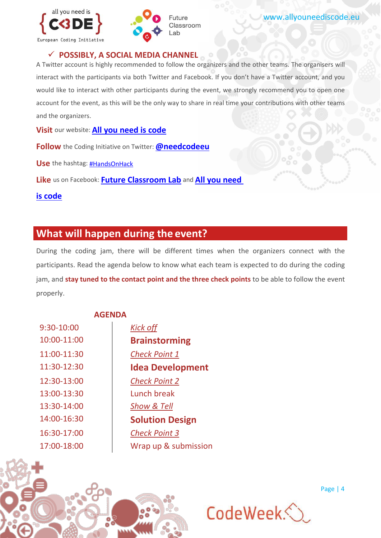



#### **POSSIBLY, A SOCIAL MEDIA CHANNEL**

A Twitter account is highly recommended to follow the organizers and the other teams. The organisers will interact with the participants via both Twitter and Facebook. If you don't have a Twitter account, and you would like to interact with other participants during the event, we strongly recommend you to open one account for the event, as this will be the only way to share in real time your contributions with other teams and the organizers.

**Visit** our website: **[All you need is code](http://www.allyouneediscode.eu/home)**

**Follow** the Coding Initiative on Twitter: **[@needcodeeu](https://twitter.com/NeedCodeEU)**

**Use** the hashtag: [#HandsOnHack](https://twitter.com/search?q=%23HandsOnHack&src=typd&lang=en)

**Like** us on Facebook: **[Future Classroom Lab](https://www.facebook.com/futureclassroomlab/)** and **[All you need](https://www.facebook.com/needcodeeu/?fref=ts)** 

**[is code](https://www.facebook.com/needcodeeu/?fref=ts)**

## **What will happen during the event?**

During the coding jam, there will be different times when the organizers connect with the participants. Read the agenda below to know what each team is expected to do during the coding jam, and **stay tuned to the contact point and the three check points** to be able to follow the event properly.

#### **AGENDA**

| 9:30-10:00  |
|-------------|
| 10:00-11:00 |
| 11:00-11:30 |
| 11:30-12:30 |
| 12:30-13:00 |
| 13:00-13:30 |
| 13:30-14:00 |
| 14:00-16:30 |
| 16:30-17:00 |
| 17:00-18:00 |

Kick off 10:00-11:00 **Brainstorming** 11:00-11:30 *Check Point 1* **Idea Development** *Check Point 2* Lunch break Show & Tell **Solution Design** 16:30-17:00 *Check Point 3* Wrap up & submission